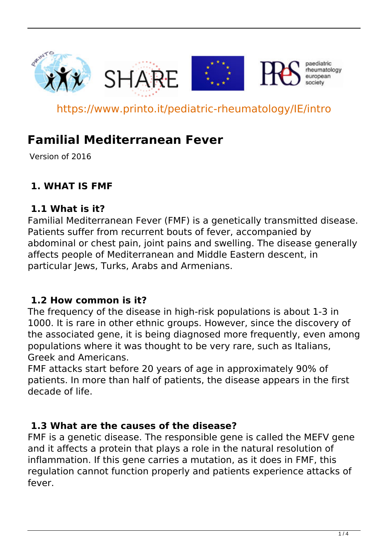

https://www.printo.it/pediatric-rheumatology/IE/intro

# **Familial Mediterranean Fever**

Version of 2016

## **1. WHAT IS FMF**

#### **1.1 What is it?**

Familial Mediterranean Fever (FMF) is a genetically transmitted disease. Patients suffer from recurrent bouts of fever, accompanied by abdominal or chest pain, joint pains and swelling. The disease generally affects people of Mediterranean and Middle Eastern descent, in particular Jews, Turks, Arabs and Armenians.

## **1.2 How common is it?**

The frequency of the disease in high-risk populations is about 1-3 in 1000. It is rare in other ethnic groups. However, since the discovery of the associated gene, it is being diagnosed more frequently, even among populations where it was thought to be very rare, such as Italians, Greek and Americans.

FMF attacks start before 20 years of age in approximately 90% of patients. In more than half of patients, the disease appears in the first decade of life.

#### **1.3 What are the causes of the disease?**

FMF is a genetic disease. The responsible gene is called the MEFV gene and it affects a protein that plays a role in the natural resolution of inflammation. If this gene carries a mutation, as it does in FMF, this regulation cannot function properly and patients experience attacks of fever.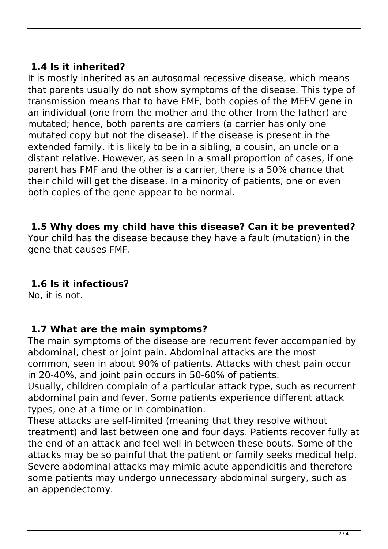## **1.4 Is it inherited?**

It is mostly inherited as an autosomal recessive disease, which means that parents usually do not show symptoms of the disease. This type of transmission means that to have FMF, both copies of the MEFV gene in an individual (one from the mother and the other from the father) are mutated; hence, both parents are carriers (a carrier has only one mutated copy but not the disease). If the disease is present in the extended family, it is likely to be in a sibling, a cousin, an uncle or a distant relative. However, as seen in a small proportion of cases, if one parent has FMF and the other is a carrier, there is a 50% chance that their child will get the disease. In a minority of patients, one or even both copies of the gene appear to be normal.

#### **1.5 Why does my child have this disease? Can it be prevented?**

Your child has the disease because they have a fault (mutation) in the gene that causes FMF.

## **1.6 Is it infectious?**

No, it is not.

#### **1.7 What are the main symptoms?**

The main symptoms of the disease are recurrent fever accompanied by abdominal, chest or joint pain. Abdominal attacks are the most common, seen in about 90% of patients. Attacks with chest pain occur in 20-40%, and joint pain occurs in 50-60% of patients.

Usually, children complain of a particular attack type, such as recurrent abdominal pain and fever. Some patients experience different attack types, one at a time or in combination.

These attacks are self-limited (meaning that they resolve without treatment) and last between one and four days. Patients recover fully at the end of an attack and feel well in between these bouts. Some of the attacks may be so painful that the patient or family seeks medical help. Severe abdominal attacks may mimic acute appendicitis and therefore some patients may undergo unnecessary abdominal surgery, such as an appendectomy.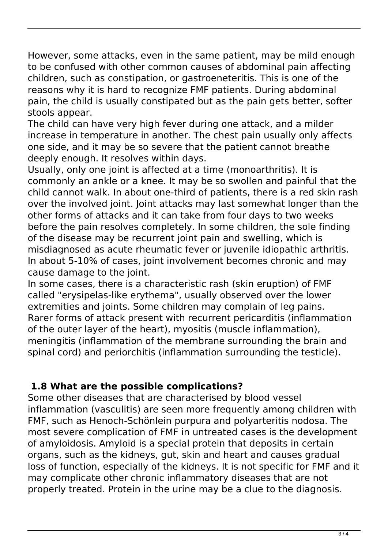However, some attacks, even in the same patient, may be mild enough to be confused with other common causes of abdominal pain affecting children, such as constipation, or gastroeneteritis. This is one of the reasons why it is hard to recognize FMF patients. During abdominal pain, the child is usually constipated but as the pain gets better, softer stools appear.

The child can have very high fever during one attack, and a milder increase in temperature in another. The chest pain usually only affects one side, and it may be so severe that the patient cannot breathe deeply enough. It resolves within days.

Usually, only one joint is affected at a time (monoarthritis). It is commonly an ankle or a knee. It may be so swollen and painful that the child cannot walk. In about one-third of patients, there is a red skin rash over the involved joint. Joint attacks may last somewhat longer than the other forms of attacks and it can take from four days to two weeks before the pain resolves completely. In some children, the sole finding of the disease may be recurrent joint pain and swelling, which is misdiagnosed as acute rheumatic fever or juvenile idiopathic arthritis. In about 5-10% of cases, joint involvement becomes chronic and may cause damage to the joint.

In some cases, there is a characteristic rash (skin eruption) of FMF called "erysipelas-like erythema", usually observed over the lower extremities and joints. Some children may complain of leg pains. Rarer forms of attack present with recurrent pericarditis (inflammation of the outer layer of the heart), myositis (muscle inflammation), meningitis (inflammation of the membrane surrounding the brain and spinal cord) and periorchitis (inflammation surrounding the testicle).

## **1.8 What are the possible complications?**

Some other diseases that are characterised by blood vessel inflammation (vasculitis) are seen more frequently among children with FMF, such as Henoch-Schönlein purpura and polyarteritis nodosa. The most severe complication of FMF in untreated cases is the development of amyloidosis. Amyloid is a special protein that deposits in certain organs, such as the kidneys, gut, skin and heart and causes gradual loss of function, especially of the kidneys. It is not specific for FMF and it may complicate other chronic inflammatory diseases that are not properly treated. Protein in the urine may be a clue to the diagnosis.